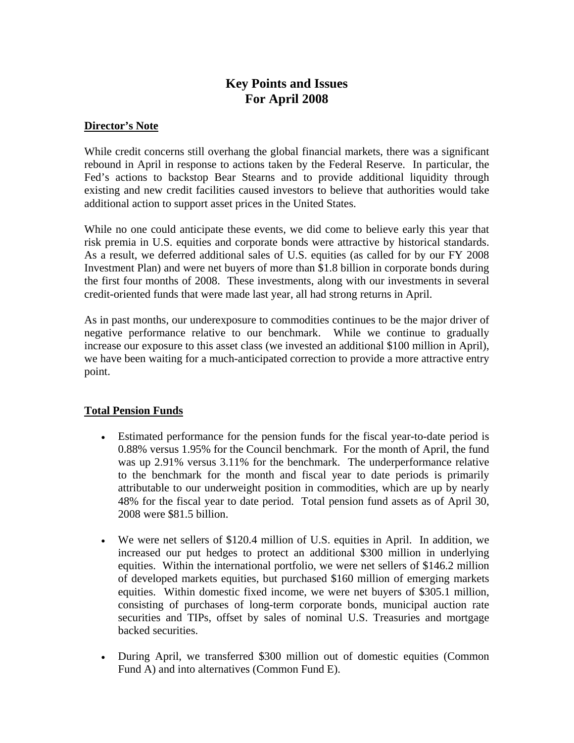# **Key Points and Issues For April 2008**

## **Director's Note**

While credit concerns still overhang the global financial markets, there was a significant rebound in April in response to actions taken by the Federal Reserve. In particular, the Fed's actions to backstop Bear Stearns and to provide additional liquidity through existing and new credit facilities caused investors to believe that authorities would take additional action to support asset prices in the United States.

While no one could anticipate these events, we did come to believe early this year that risk premia in U.S. equities and corporate bonds were attractive by historical standards. As a result, we deferred additional sales of U.S. equities (as called for by our FY 2008 Investment Plan) and were net buyers of more than \$1.8 billion in corporate bonds during the first four months of 2008. These investments, along with our investments in several credit-oriented funds that were made last year, all had strong returns in April.

As in past months, our underexposure to commodities continues to be the major driver of negative performance relative to our benchmark. While we continue to gradually increase our exposure to this asset class (we invested an additional \$100 million in April), we have been waiting for a much-anticipated correction to provide a more attractive entry point.

# **Total Pension Funds**

- Estimated performance for the pension funds for the fiscal year-to-date period is 0.88% versus 1.95% for the Council benchmark. For the month of April, the fund was up 2.91% versus 3.11% for the benchmark. The underperformance relative to the benchmark for the month and fiscal year to date periods is primarily attributable to our underweight position in commodities, which are up by nearly 48% for the fiscal year to date period. Total pension fund assets as of April 30, 2008 were \$81.5 billion.
- We were net sellers of \$120.4 million of U.S. equities in April. In addition, we increased our put hedges to protect an additional \$300 million in underlying equities. Within the international portfolio, we were net sellers of \$146.2 million of developed markets equities, but purchased \$160 million of emerging markets equities. Within domestic fixed income, we were net buyers of \$305.1 million, consisting of purchases of long-term corporate bonds, municipal auction rate securities and TIPs, offset by sales of nominal U.S. Treasuries and mortgage backed securities.
- During April, we transferred \$300 million out of domestic equities (Common Fund A) and into alternatives (Common Fund E).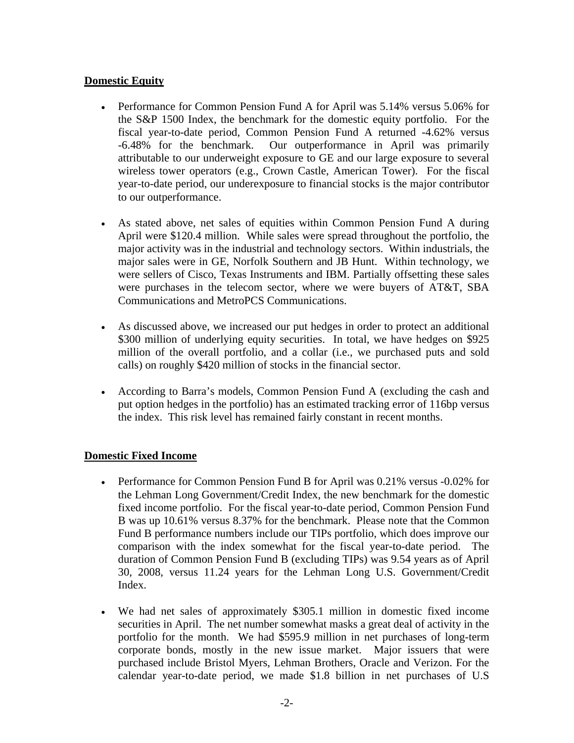# **Domestic Equity**

- Performance for Common Pension Fund A for April was 5.14% versus 5.06% for the S&P 1500 Index, the benchmark for the domestic equity portfolio. For the fiscal year-to-date period, Common Pension Fund A returned -4.62% versus -6.48% for the benchmark. Our outperformance in April was primarily attributable to our underweight exposure to GE and our large exposure to several wireless tower operators (e.g., Crown Castle, American Tower). For the fiscal year-to-date period, our underexposure to financial stocks is the major contributor to our outperformance.
- As stated above, net sales of equities within Common Pension Fund A during April were \$120.4 million. While sales were spread throughout the portfolio, the major activity was in the industrial and technology sectors. Within industrials, the major sales were in GE, Norfolk Southern and JB Hunt. Within technology, we were sellers of Cisco, Texas Instruments and IBM. Partially offsetting these sales were purchases in the telecom sector, where we were buyers of AT&T, SBA Communications and MetroPCS Communications.
- As discussed above, we increased our put hedges in order to protect an additional \$300 million of underlying equity securities. In total, we have hedges on \$925 million of the overall portfolio, and a collar (i.e., we purchased puts and sold calls) on roughly \$420 million of stocks in the financial sector.
- According to Barra's models, Common Pension Fund A (excluding the cash and put option hedges in the portfolio) has an estimated tracking error of 116bp versus the index. This risk level has remained fairly constant in recent months.

#### **Domestic Fixed Income**

- Performance for Common Pension Fund B for April was 0.21% versus -0.02% for the Lehman Long Government/Credit Index, the new benchmark for the domestic fixed income portfolio. For the fiscal year-to-date period, Common Pension Fund B was up 10.61% versus 8.37% for the benchmark. Please note that the Common Fund B performance numbers include our TIPs portfolio, which does improve our comparison with the index somewhat for the fiscal year-to-date period. The duration of Common Pension Fund B (excluding TIPs) was 9.54 years as of April 30, 2008, versus 11.24 years for the Lehman Long U.S. Government/Credit Index.
- We had net sales of approximately \$305.1 million in domestic fixed income securities in April. The net number somewhat masks a great deal of activity in the portfolio for the month. We had \$595.9 million in net purchases of long-term corporate bonds, mostly in the new issue market. Major issuers that were purchased include Bristol Myers, Lehman Brothers, Oracle and Verizon. For the calendar year-to-date period, we made \$1.8 billion in net purchases of U.S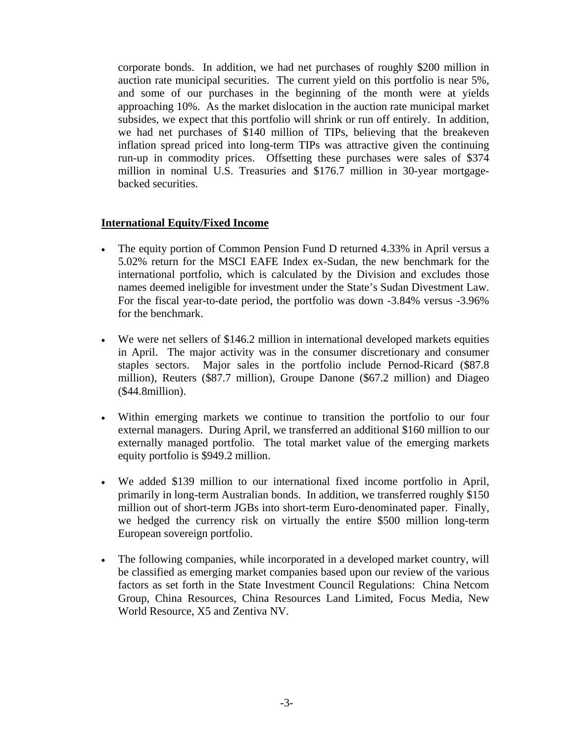corporate bonds. In addition, we had net purchases of roughly \$200 million in auction rate municipal securities. The current yield on this portfolio is near 5%, and some of our purchases in the beginning of the month were at yields approaching 10%. As the market dislocation in the auction rate municipal market subsides, we expect that this portfolio will shrink or run off entirely. In addition, we had net purchases of \$140 million of TIPs, believing that the breakeven inflation spread priced into long-term TIPs was attractive given the continuing run-up in commodity prices. Offsetting these purchases were sales of \$374 million in nominal U.S. Treasuries and \$176.7 million in 30-year mortgagebacked securities.

## **International Equity/Fixed Income**

- The equity portion of Common Pension Fund D returned 4.33% in April versus a 5.02% return for the MSCI EAFE Index ex-Sudan, the new benchmark for the international portfolio, which is calculated by the Division and excludes those names deemed ineligible for investment under the State's Sudan Divestment Law. For the fiscal year-to-date period, the portfolio was down -3.84% versus -3.96% for the benchmark.
- We were net sellers of \$146.2 million in international developed markets equities in April. The major activity was in the consumer discretionary and consumer staples sectors. Major sales in the portfolio include Pernod-Ricard (\$87.8 million), Reuters (\$87.7 million), Groupe Danone (\$67.2 million) and Diageo (\$44.8million).
- Within emerging markets we continue to transition the portfolio to our four external managers. During April, we transferred an additional \$160 million to our externally managed portfolio. The total market value of the emerging markets equity portfolio is \$949.2 million.
- We added \$139 million to our international fixed income portfolio in April, primarily in long-term Australian bonds. In addition, we transferred roughly \$150 million out of short-term JGBs into short-term Euro-denominated paper. Finally, we hedged the currency risk on virtually the entire \$500 million long-term European sovereign portfolio.
- The following companies, while incorporated in a developed market country, will be classified as emerging market companies based upon our review of the various factors as set forth in the State Investment Council Regulations: China Netcom Group, China Resources, China Resources Land Limited, Focus Media, New World Resource, X5 and Zentiva NV.